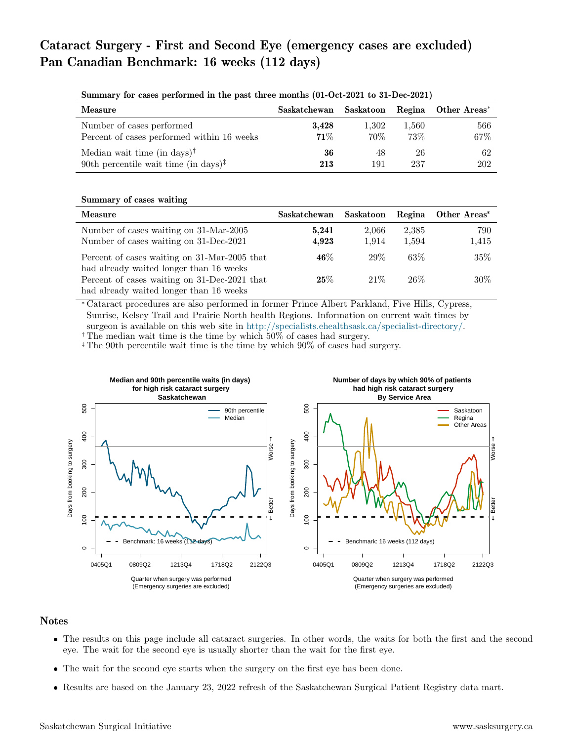# Cataract Surgery - First and Second Eye (emergency cases are excluded) Pan Canadian Benchmark: 16 weeks (112 days)

| Measure                                                              | Saskatchewan |       |       | Saskatoon Regina Other Areas* |
|----------------------------------------------------------------------|--------------|-------|-------|-------------------------------|
| Number of cases performed                                            | 3,428        | 1,302 | 1,560 | 566                           |
| Percent of cases performed within 16 weeks                           | 71%          | 70%   | 73%   | 67%                           |
| Median wait time (in days) <sup>†</sup>                              | 36           | 48    | 26    | -62                           |
| 90th percentile wait time (in days) <sup><math>\ddagger</math></sup> | 213          | 191   | 237   | 202                           |

Summary for cases performed in the past three months (01-Oct-2021 to 31-Dec-2021)

#### Summary of cases waiting

| Measure                                      | Saskatchewan | Saskatoon |        | Regina Other Areas* |
|----------------------------------------------|--------------|-----------|--------|---------------------|
| Number of cases waiting on 31-Mar-2005       | 5,241        | 2,066     | 2,385  | 790                 |
| Number of cases waiting on 31-Dec-2021       | 4,923        | 1.914     | 1.594  | 1,415               |
| Percent of cases waiting on 31-Mar-2005 that | $46\%$       | 29\%      | $63\%$ | $35\%$              |
| had already waited longer than 16 weeks      |              |           |        |                     |
| Percent of cases waiting on 31-Dec-2021 that | $25\%$       | 21\%      | $26\%$ | $30\%$              |
| had already waited longer than 16 weeks      |              |           |        |                     |

<sup>∗</sup> Cataract procedures are also performed in former Prince Albert Parkland, Five Hills, Cypress, Sunrise, Kelsey Trail and Prairie North health Regions. Information on current wait times by surgeon is available on this web site in [http://specialists.ehealthsask.ca/specialist-directory/.](http://specialists.ehealthsask.ca/specialist-directory/) † The median wait time is the time by which 50% of cases had surgery.

‡ The 90th percentile wait time is the time by which 90% of cases had surgery.



## **Notes**

- The results on this page include all cataract surgeries. In other words, the waits for both the first and the second eye. The wait for the second eye is usually shorter than the wait for the first eye.
- The wait for the second eye starts when the surgery on the first eye has been done.
- Results are based on the January 23, 2022 refresh of the Saskatchewan Surgical Patient Registry data mart.